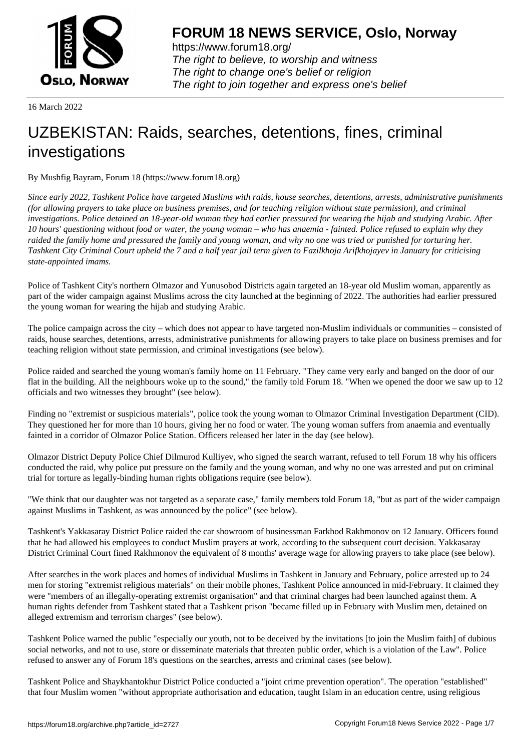

https://www.forum18.org/ The right to believe, to worship and witness The right to change one's belief or religion [The right to join together a](https://www.forum18.org/)nd express one's belief

16 March 2022

# [UZBEKISTAN:](https://www.forum18.org) Raids, searches, detentions, fines, criminal investigations

By Mushfig Bayram, Forum 18 (https://www.forum18.org)

*Since early 2022, Tashkent Police have targeted Muslims with raids, house searches, detentions, arrests, administrative punishments (for allowing prayers to take place on business premises, and for teaching religion without state permission), and criminal investigations. Police detained an 18-year-old woman they had earlier pressured for wearing the hijab and studying Arabic. After 10 hours' questioning without food or water, the young woman – who has anaemia - fainted. Police refused to explain why they raided the family home and pressured the family and young woman, and why no one was tried or punished for torturing her. Tashkent City Criminal Court upheld the 7 and a half year jail term given to Fazilkhoja Arifkhojayev in January for criticising state-appointed imams.*

Police of Tashkent City's northern Olmazor and Yunusobod Districts again targeted an 18-year old Muslim woman, apparently as part of the wider campaign against Muslims across the city launched at the beginning of 2022. The authorities had earlier pressured the young woman for wearing the hijab and studying Arabic.

The police campaign across the city – which does not appear to have targeted non-Muslim individuals or communities – consisted of raids, house searches, detentions, arrests, administrative punishments for allowing prayers to take place on business premises and for teaching religion without state permission, and criminal investigations (see below).

Police raided and searched the young woman's family home on 11 February. "They came very early and banged on the door of our flat in the building. All the neighbours woke up to the sound," the family told Forum 18. "When we opened the door we saw up to 12 officials and two witnesses they brought" (see below).

Finding no "extremist or suspicious materials", police took the young woman to Olmazor Criminal Investigation Department (CID). They questioned her for more than 10 hours, giving her no food or water. The young woman suffers from anaemia and eventually fainted in a corridor of Olmazor Police Station. Officers released her later in the day (see below).

Olmazor District Deputy Police Chief Dilmurod Kulliyev, who signed the search warrant, refused to tell Forum 18 why his officers conducted the raid, why police put pressure on the family and the young woman, and why no one was arrested and put on criminal trial for torture as legally-binding human rights obligations require (see below).

"We think that our daughter was not targeted as a separate case," family members told Forum 18, "but as part of the wider campaign against Muslims in Tashkent, as was announced by the police" (see below).

Tashkent's Yakkasaray District Police raided the car showroom of businessman Farkhod Rakhmonov on 12 January. Officers found that he had allowed his employees to conduct Muslim prayers at work, according to the subsequent court decision. Yakkasaray District Criminal Court fined Rakhmonov the equivalent of 8 months' average wage for allowing prayers to take place (see below).

After searches in the work places and homes of individual Muslims in Tashkent in January and February, police arrested up to 24 men for storing "extremist religious materials" on their mobile phones, Tashkent Police announced in mid-February. It claimed they were "members of an illegally-operating extremist organisation" and that criminal charges had been launched against them. A human rights defender from Tashkent stated that a Tashkent prison "became filled up in February with Muslim men, detained on alleged extremism and terrorism charges" (see below).

Tashkent Police warned the public "especially our youth, not to be deceived by the invitations [to join the Muslim faith] of dubious social networks, and not to use, store or disseminate materials that threaten public order, which is a violation of the Law". Police refused to answer any of Forum 18's questions on the searches, arrests and criminal cases (see below).

Tashkent Police and Shaykhantokhur District Police conducted a "joint crime prevention operation". The operation "established" that four Muslim women "without appropriate authorisation and education, taught Islam in an education centre, using religious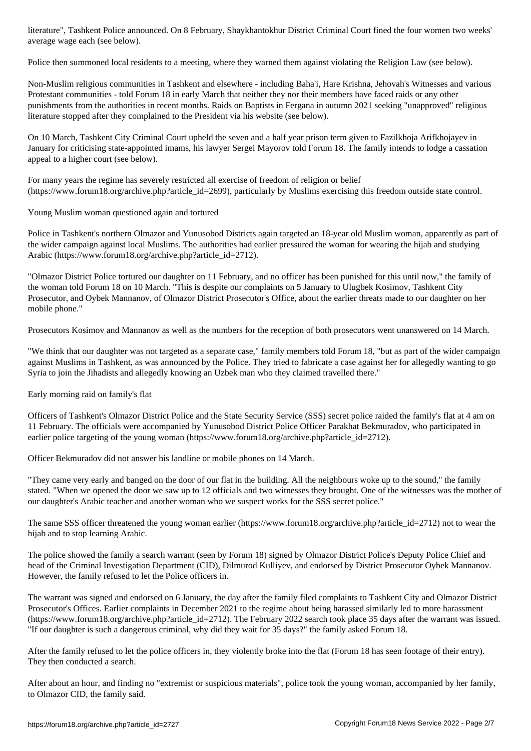average wage each (see below).

Police then summoned local residents to a meeting, where they warned them against violating the Religion Law (see below).

Non-Muslim religious communities in Tashkent and elsewhere - including Baha'i, Hare Krishna, Jehovah's Witnesses and various Protestant communities - told Forum 18 in early March that neither they nor their members have faced raids or any other punishments from the authorities in recent months. Raids on Baptists in Fergana in autumn 2021 seeking "unapproved" religious literature stopped after they complained to the President via his website (see below).

On 10 March, Tashkent City Criminal Court upheld the seven and a half year prison term given to Fazilkhoja Arifkhojayev in January for criticising state-appointed imams, his lawyer Sergei Mayorov told Forum 18. The family intends to lodge a cassation appeal to a higher court (see below).

For many years the regime has severely restricted all exercise of freedom of religion or belief (https://www.forum18.org/archive.php?article\_id=2699), particularly by Muslims exercising this freedom outside state control.

Young Muslim woman questioned again and tortured

Police in Tashkent's northern Olmazor and Yunusobod Districts again targeted an 18-year old Muslim woman, apparently as part of the wider campaign against local Muslims. The authorities had earlier pressured the woman for wearing the hijab and studying Arabic (https://www.forum18.org/archive.php?article\_id=2712).

"Olmazor District Police tortured our daughter on 11 February, and no officer has been punished for this until now," the family of the woman told Forum 18 on 10 March. "This is despite our complaints on 5 January to Ulugbek Kosimov, Tashkent City Prosecutor, and Oybek Mannanov, of Olmazor District Prosecutor's Office, about the earlier threats made to our daughter on her mobile phone."

Prosecutors Kosimov and Mannanov as well as the numbers for the reception of both prosecutors went unanswered on 14 March.

"We think that our daughter was not targeted as a separate case," family members told Forum 18, "but as part of the wider campaign against Muslims in Tashkent, as was announced by the Police. They tried to fabricate a case against her for allegedly wanting to go Syria to join the Jihadists and allegedly knowing an Uzbek man who they claimed travelled there."

Early morning raid on family's flat

Officers of Tashkent's Olmazor District Police and the State Security Service (SSS) secret police raided the family's flat at 4 am on 11 February. The officials were accompanied by Yunusobod District Police Officer Parakhat Bekmuradov, who participated in earlier police targeting of the young woman (https://www.forum18.org/archive.php?article\_id=2712).

Officer Bekmuradov did not answer his landline or mobile phones on 14 March.

"They came very early and banged on the door of our flat in the building. All the neighbours woke up to the sound," the family stated. "When we opened the door we saw up to 12 officials and two witnesses they brought. One of the witnesses was the mother of our daughter's Arabic teacher and another woman who we suspect works for the SSS secret police."

The same SSS officer threatened the young woman earlier (https://www.forum18.org/archive.php?article\_id=2712) not to wear the hijab and to stop learning Arabic.

The police showed the family a search warrant (seen by Forum 18) signed by Olmazor District Police's Deputy Police Chief and head of the Criminal Investigation Department (CID), Dilmurod Kulliyev, and endorsed by District Prosecutor Oybek Mannanov. However, the family refused to let the Police officers in.

The warrant was signed and endorsed on 6 January, the day after the family filed complaints to Tashkent City and Olmazor District Prosecutor's Offices. Earlier complaints in December 2021 to the regime about being harassed similarly led to more harassment (https://www.forum18.org/archive.php?article\_id=2712). The February 2022 search took place 35 days after the warrant was issued. "If our daughter is such a dangerous criminal, why did they wait for 35 days?" the family asked Forum 18.

After the family refused to let the police officers in, they violently broke into the flat (Forum 18 has seen footage of their entry). They then conducted a search.

After about an hour, and finding no "extremist or suspicious materials", police took the young woman, accompanied by her family, to Olmazor CID, the family said.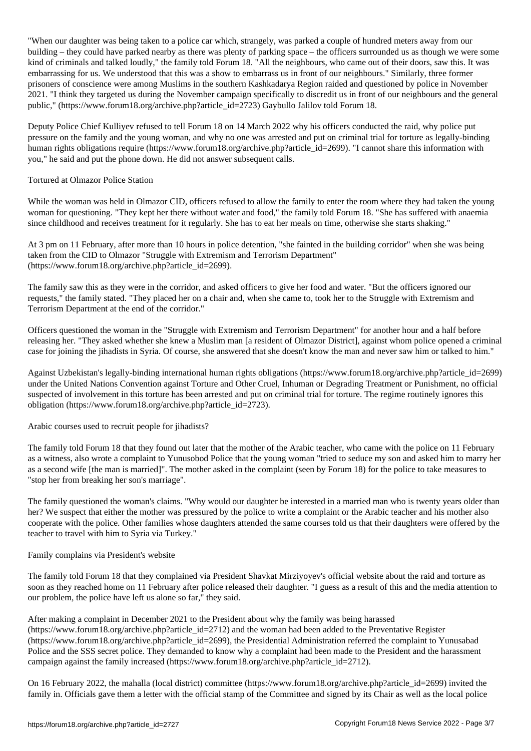when our daughter was being taken to a police car which, strangely, was parked a couple of hundred meters and building – they could have parked nearby as there was plenty of parking space – the officers surrounded us as though we were some kind of criminals and talked loudly," the family told Forum 18. "All the neighbours, who came out of their doors, saw this. It was embarrassing for us. We understood that this was a show to embarrass us in front of our neighbours." Similarly, three former prisoners of conscience were among Muslims in the southern Kashkadarya Region raided and questioned by police in November 2021. "I think they targeted us during the November campaign specifically to discredit us in front of our neighbours and the general public," (https://www.forum18.org/archive.php?article\_id=2723) Gaybullo Jalilov told Forum 18.

Deputy Police Chief Kulliyev refused to tell Forum 18 on 14 March 2022 why his officers conducted the raid, why police put pressure on the family and the young woman, and why no one was arrested and put on criminal trial for torture as legally-binding human rights obligations require (https://www.forum18.org/archive.php?article\_id=2699). "I cannot share this information with you," he said and put the phone down. He did not answer subsequent calls.

## Tortured at Olmazor Police Station

While the woman was held in Olmazor CID, officers refused to allow the family to enter the room where they had taken the young woman for questioning. "They kept her there without water and food," the family told Forum 18. "She has suffered with anaemia since childhood and receives treatment for it regularly. She has to eat her meals on time, otherwise she starts shaking."

At 3 pm on 11 February, after more than 10 hours in police detention, "she fainted in the building corridor" when she was being taken from the CID to Olmazor "Struggle with Extremism and Terrorism Department" (https://www.forum18.org/archive.php?article\_id=2699).

The family saw this as they were in the corridor, and asked officers to give her food and water. "But the officers ignored our requests," the family stated. "They placed her on a chair and, when she came to, took her to the Struggle with Extremism and Terrorism Department at the end of the corridor."

Officers questioned the woman in the "Struggle with Extremism and Terrorism Department" for another hour and a half before releasing her. "They asked whether she knew a Muslim man [a resident of Olmazor District], against whom police opened a criminal case for joining the jihadists in Syria. Of course, she answered that she doesn't know the man and never saw him or talked to him."

Against Uzbekistan's legally-binding international human rights obligations (https://www.forum18.org/archive.php?article\_id=2699) under the United Nations Convention against Torture and Other Cruel, Inhuman or Degrading Treatment or Punishment, no official suspected of involvement in this torture has been arrested and put on criminal trial for torture. The regime routinely ignores this obligation (https://www.forum18.org/archive.php?article\_id=2723).

### Arabic courses used to recruit people for jihadists?

The family told Forum 18 that they found out later that the mother of the Arabic teacher, who came with the police on 11 February as a witness, also wrote a complaint to Yunusobod Police that the young woman "tried to seduce my son and asked him to marry her as a second wife [the man is married]". The mother asked in the complaint (seen by Forum 18) for the police to take measures to "stop her from breaking her son's marriage".

The family questioned the woman's claims. "Why would our daughter be interested in a married man who is twenty years older than her? We suspect that either the mother was pressured by the police to write a complaint or the Arabic teacher and his mother also cooperate with the police. Other families whose daughters attended the same courses told us that their daughters were offered by the teacher to travel with him to Syria via Turkey."

### Family complains via President's website

The family told Forum 18 that they complained via President Shavkat Mirziyoyev's official website about the raid and torture as soon as they reached home on 11 February after police released their daughter. "I guess as a result of this and the media attention to our problem, the police have left us alone so far," they said.

After making a complaint in December 2021 to the President about why the family was being harassed (https://www.forum18.org/archive.php?article\_id=2712) and the woman had been added to the Preventative Register (https://www.forum18.org/archive.php?article\_id=2699), the Presidential Administration referred the complaint to Yunusabad Police and the SSS secret police. They demanded to know why a complaint had been made to the President and the harassment campaign against the family increased (https://www.forum18.org/archive.php?article\_id=2712).

On 16 February 2022, the mahalla (local district) committee (https://www.forum18.org/archive.php?article\_id=2699) invited the family in. Officials gave them a letter with the official stamp of the Committee and signed by its Chair as well as the local police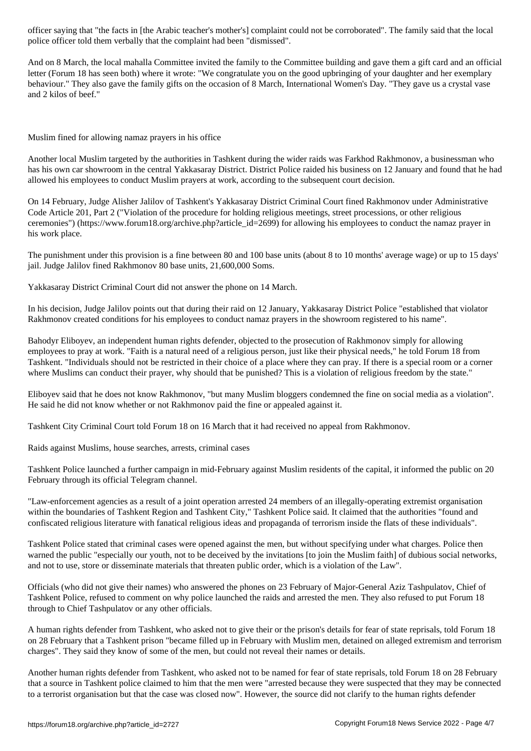police officer told them verbally that the complaint had been "dismissed".

And on 8 March, the local mahalla Committee invited the family to the Committee building and gave them a gift card and an official letter (Forum 18 has seen both) where it wrote: "We congratulate you on the good upbringing of your daughter and her exemplary behaviour." They also gave the family gifts on the occasion of 8 March, International Women's Day. "They gave us a crystal vase and 2 kilos of beef."

Muslim fined for allowing namaz prayers in his office

Another local Muslim targeted by the authorities in Tashkent during the wider raids was Farkhod Rakhmonov, a businessman who has his own car showroom in the central Yakkasaray District. District Police raided his business on 12 January and found that he had allowed his employees to conduct Muslim prayers at work, according to the subsequent court decision.

On 14 February, Judge Alisher Jalilov of Tashkent's Yakkasaray District Criminal Court fined Rakhmonov under Administrative Code Article 201, Part 2 ("Violation of the procedure for holding religious meetings, street processions, or other religious ceremonies") (https://www.forum18.org/archive.php?article\_id=2699) for allowing his employees to conduct the namaz prayer in his work place.

The punishment under this provision is a fine between 80 and 100 base units (about 8 to 10 months' average wage) or up to 15 days' jail. Judge Jalilov fined Rakhmonov 80 base units, 21,600,000 Soms.

Yakkasaray District Criminal Court did not answer the phone on 14 March.

In his decision, Judge Jalilov points out that during their raid on 12 January, Yakkasaray District Police "established that violator Rakhmonov created conditions for his employees to conduct namaz prayers in the showroom registered to his name".

Bahodyr Eliboyev, an independent human rights defender, objected to the prosecution of Rakhmonov simply for allowing employees to pray at work. "Faith is a natural need of a religious person, just like their physical needs," he told Forum 18 from Tashkent. "Individuals should not be restricted in their choice of a place where they can pray. If there is a special room or a corner where Muslims can conduct their prayer, why should that be punished? This is a violation of religious freedom by the state."

Eliboyev said that he does not know Rakhmonov, "but many Muslim bloggers condemned the fine on social media as a violation". He said he did not know whether or not Rakhmonov paid the fine or appealed against it.

Tashkent City Criminal Court told Forum 18 on 16 March that it had received no appeal from Rakhmonov.

Raids against Muslims, house searches, arrests, criminal cases

Tashkent Police launched a further campaign in mid-February against Muslim residents of the capital, it informed the public on 20 February through its official Telegram channel.

"Law-enforcement agencies as a result of a joint operation arrested 24 members of an illegally-operating extremist organisation within the boundaries of Tashkent Region and Tashkent City," Tashkent Police said. It claimed that the authorities "found and confiscated religious literature with fanatical religious ideas and propaganda of terrorism inside the flats of these individuals".

Tashkent Police stated that criminal cases were opened against the men, but without specifying under what charges. Police then warned the public "especially our youth, not to be deceived by the invitations [to join the Muslim faith] of dubious social networks, and not to use, store or disseminate materials that threaten public order, which is a violation of the Law".

Officials (who did not give their names) who answered the phones on 23 February of Major-General Aziz Tashpulatov, Chief of Tashkent Police, refused to comment on why police launched the raids and arrested the men. They also refused to put Forum 18 through to Chief Tashpulatov or any other officials.

A human rights defender from Tashkent, who asked not to give their or the prison's details for fear of state reprisals, told Forum 18 on 28 February that a Tashkent prison "became filled up in February with Muslim men, detained on alleged extremism and terrorism charges". They said they know of some of the men, but could not reveal their names or details.

Another human rights defender from Tashkent, who asked not to be named for fear of state reprisals, told Forum 18 on 28 February that a source in Tashkent police claimed to him that the men were "arrested because they were suspected that they may be connected to a terrorist organisation but that the case was closed now". However, the source did not clarify to the human rights defender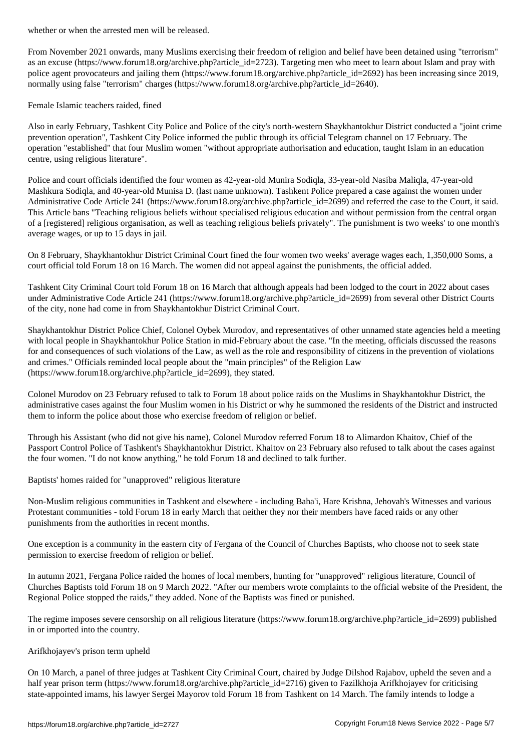From November 2021 onwards, many Muslims exercising their freedom of religion and belief have been detained using "terrorism" as an excuse (https://www.forum18.org/archive.php?article\_id=2723). Targeting men who meet to learn about Islam and pray with police agent provocateurs and jailing them (https://www.forum18.org/archive.php?article\_id=2692) has been increasing since 2019, normally using false "terrorism" charges (https://www.forum18.org/archive.php?article\_id=2640).

Female Islamic teachers raided, fined

Also in early February, Tashkent City Police and Police of the city's north-western Shaykhantokhur District conducted a "joint crime prevention operation", Tashkent City Police informed the public through its official Telegram channel on 17 February. The operation "established" that four Muslim women "without appropriate authorisation and education, taught Islam in an education centre, using religious literature".

Police and court officials identified the four women as 42-year-old Munira Sodiqla, 33-year-old Nasiba Maliqla, 47-year-old Mashkura Sodiqla, and 40-year-old Munisa D. (last name unknown). Tashkent Police prepared a case against the women under Administrative Code Article 241 (https://www.forum18.org/archive.php?article\_id=2699) and referred the case to the Court, it said. This Article bans "Teaching religious beliefs without specialised religious education and without permission from the central organ of a [registered] religious organisation, as well as teaching religious beliefs privately". The punishment is two weeks' to one month's average wages, or up to 15 days in jail.

On 8 February, Shaykhantokhur District Criminal Court fined the four women two weeks' average wages each, 1,350,000 Soms, a court official told Forum 18 on 16 March. The women did not appeal against the punishments, the official added.

Tashkent City Criminal Court told Forum 18 on 16 March that although appeals had been lodged to the court in 2022 about cases under Administrative Code Article 241 (https://www.forum18.org/archive.php?article\_id=2699) from several other District Courts of the city, none had come in from Shaykhantokhur District Criminal Court.

Shaykhantokhur District Police Chief, Colonel Oybek Murodov, and representatives of other unnamed state agencies held a meeting with local people in Shaykhantokhur Police Station in mid-February about the case. "In the meeting, officials discussed the reasons for and consequences of such violations of the Law, as well as the role and responsibility of citizens in the prevention of violations and crimes." Officials reminded local people about the "main principles" of the Religion Law (https://www.forum18.org/archive.php?article\_id=2699), they stated.

Colonel Murodov on 23 February refused to talk to Forum 18 about police raids on the Muslims in Shaykhantokhur District, the administrative cases against the four Muslim women in his District or why he summoned the residents of the District and instructed them to inform the police about those who exercise freedom of religion or belief.

Through his Assistant (who did not give his name), Colonel Murodov referred Forum 18 to Alimardon Khaitov, Chief of the Passport Control Police of Tashkent's Shaykhantokhur District. Khaitov on 23 February also refused to talk about the cases against the four women. "I do not know anything," he told Forum 18 and declined to talk further.

Baptists' homes raided for "unapproved" religious literature

Non-Muslim religious communities in Tashkent and elsewhere - including Baha'i, Hare Krishna, Jehovah's Witnesses and various Protestant communities - told Forum 18 in early March that neither they nor their members have faced raids or any other punishments from the authorities in recent months.

One exception is a community in the eastern city of Fergana of the Council of Churches Baptists, who choose not to seek state permission to exercise freedom of religion or belief.

In autumn 2021, Fergana Police raided the homes of local members, hunting for "unapproved" religious literature, Council of Churches Baptists told Forum 18 on 9 March 2022. "After our members wrote complaints to the official website of the President, the Regional Police stopped the raids," they added. None of the Baptists was fined or punished.

The regime imposes severe censorship on all religious literature (https://www.forum18.org/archive.php?article\_id=2699) published in or imported into the country.

### Arifkhojayev's prison term upheld

On 10 March, a panel of three judges at Tashkent City Criminal Court, chaired by Judge Dilshod Rajabov, upheld the seven and a half year prison term (https://www.forum18.org/archive.php?article\_id=2716) given to Fazilkhoja Arifkhojayev for criticising state-appointed imams, his lawyer Sergei Mayorov told Forum 18 from Tashkent on 14 March. The family intends to lodge a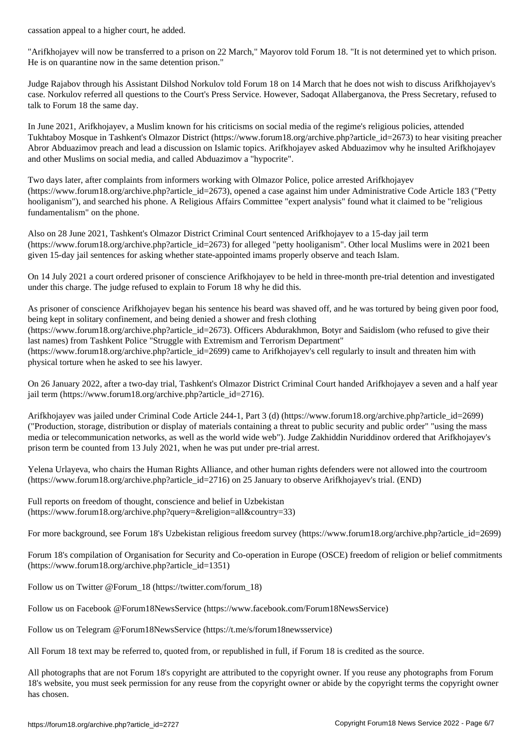"Arifkhojayev will now be transferred to a prison on 22 March," Mayorov told Forum 18. "It is not determined yet to which prison. He is on quarantine now in the same detention prison."

Judge Rajabov through his Assistant Dilshod Norkulov told Forum 18 on 14 March that he does not wish to discuss Arifkhojayev's case. Norkulov referred all questions to the Court's Press Service. However, Sadoqat Allaberganova, the Press Secretary, refused to talk to Forum 18 the same day.

In June 2021, Arifkhojayev, a Muslim known for his criticisms on social media of the regime's religious policies, attended Tukhtaboy Mosque in Tashkent's Olmazor District (https://www.forum18.org/archive.php?article\_id=2673) to hear visiting preacher Abror Abduazimov preach and lead a discussion on Islamic topics. Arifkhojayev asked Abduazimov why he insulted Arifkhojayev and other Muslims on social media, and called Abduazimov a "hypocrite".

Two days later, after complaints from informers working with Olmazor Police, police arrested Arifkhojayev (https://www.forum18.org/archive.php?article\_id=2673), opened a case against him under Administrative Code Article 183 ("Petty hooliganism"), and searched his phone. A Religious Affairs Committee "expert analysis" found what it claimed to be "religious fundamentalism" on the phone.

Also on 28 June 2021, Tashkent's Olmazor District Criminal Court sentenced Arifkhojayev to a 15-day jail term  $(\text{https://www.forum18.org/archive.php?article id=2673})$  for alleged "petty hooliganism". Other local Muslims were in 2021 been given 15-day jail sentences for asking whether state-appointed imams properly observe and teach Islam.

On 14 July 2021 a court ordered prisoner of conscience Arifkhojayev to be held in three-month pre-trial detention and investigated under this charge. The judge refused to explain to Forum 18 why he did this.

As prisoner of conscience Arifkhojayev began his sentence his beard was shaved off, and he was tortured by being given poor food, being kept in solitary confinement, and being denied a shower and fresh clothing (https://www.forum18.org/archive.php?article\_id=2673). Officers Abdurakhmon, Botyr and Saidislom (who refused to give their last names) from Tashkent Police "Struggle with Extremism and Terrorism Department" (https://www.forum18.org/archive.php?article\_id=2699) came to Arifkhojayev's cell regularly to insult and threaten him with physical torture when he asked to see his lawyer.

On 26 January 2022, after a two-day trial, Tashkent's Olmazor District Criminal Court handed Arifkhojayev a seven and a half year jail term (https://www.forum18.org/archive.php?article\_id=2716).

Arifkhojayev was jailed under Criminal Code Article 244-1, Part 3 (d) (https://www.forum18.org/archive.php?article\_id=2699) ("Production, storage, distribution or display of materials containing a threat to public security and public order" "using the mass media or telecommunication networks, as well as the world wide web"). Judge Zakhiddin Nuriddinov ordered that Arifkhojayev's prison term be counted from 13 July 2021, when he was put under pre-trial arrest.

Yelena Urlayeva, who chairs the Human Rights Alliance, and other human rights defenders were not allowed into the courtroom (https://www.forum18.org/archive.php?article\_id=2716) on 25 January to observe Arifkhojayev's trial. (END)

Full reports on freedom of thought, conscience and belief in Uzbekistan (https://www.forum18.org/archive.php?query=&religion=all&country=33)

For more background, see Forum 18's Uzbekistan religious freedom survey (https://www.forum18.org/archive.php?article\_id=2699)

Forum 18's compilation of Organisation for Security and Co-operation in Europe (OSCE) freedom of religion or belief commitments (https://www.forum18.org/archive.php?article\_id=1351)

Follow us on Twitter @Forum\_18 (https://twitter.com/forum\_18)

Follow us on Facebook @Forum18NewsService (https://www.facebook.com/Forum18NewsService)

Follow us on Telegram @Forum18NewsService (https://t.me/s/forum18newsservice)

All Forum 18 text may be referred to, quoted from, or republished in full, if Forum 18 is credited as the source.

All photographs that are not Forum 18's copyright are attributed to the copyright owner. If you reuse any photographs from Forum 18's website, you must seek permission for any reuse from the copyright owner or abide by the copyright terms the copyright owner has chosen.